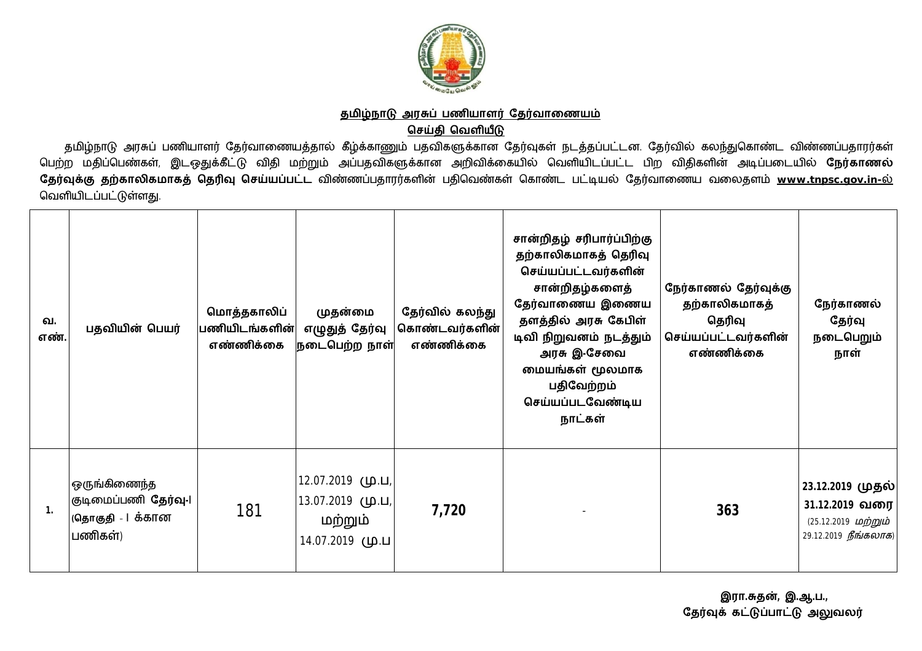

## <u>தமிழ்நாடு அரசுப் பணியாளர் தேர்வாணையம்</u> **ெசதி ெவளய**

தமிழ்நாடு அரசுப் பணியாளர் தேர்வாணையத்தால் கீழ்க்காணும் பதவிகளுக்கான தேர்வுகள் நடத்தப்பட்டன. தேர்வில் கலந்துகொண்ட விண்ணப்பதாரர்கள் ு<br>பெற்ற மதிப்பெண்கள், இடஒதுக்கீட்டு விதி மற்றும் அப்பதவிகளுக்கான அறிவிக்கையில் வெளியிடப்பட்ட பிற விதிகளின் அடிப்படையில் **நேர்காணல்** <u>தே</u>ர்வுக்கு தற்காலிகமாகத் தெரிவு செய்யப்பட்ட விண்ணப்பதாரர்களின் பதிவெண்கள் கொண்ட பட்டியல் தேர்வாணைய வலைதளம் <u>www.tnpsc.gov.in-ல்</u> வெளியிடப்பட்டுள்ளது.

| வ.<br>எண்.   | பதவியின் பெயர்                                                      | மொத்தகாலிப்<br>பணியிடங்களின்<br>எண்ணிக்கை | முதன்மை<br>எழுதுத் தேர்வு<br>நடைபெற்ற நாள்                    | தேர்வில் கலந்து<br>கொண்டவர்களின்<br>எண்ணிக்கை | சான்றிதழ் சரிபார்ப்பிற்கு<br>தற்காலிகமாகத் தெரிவு<br>செய்யப்பட்டவர்களின்<br>சான்றிதழ்களைத்<br>தேர்வாணைய இணைய<br>தளத்தில் அரசு கேபிள்<br>டிவி நிறுவனம் நடத்தும்<br>அரசு இ-சேவை<br>மையங்கள் மூலமாக<br>பதிவேற்றம்<br>செய்யப்படவேண்டிய<br>நாட்கள் | நேர்காணல் தேர்வுக்கு<br>தற்காலிகமாகத்<br>தெரிவு<br>செய்யப்பட்டவர்களின்<br>எண்ணிக்கை | நேர்காணல்<br>தேர்வு<br>நடைபெறும்<br>நாள்                                           |
|--------------|---------------------------------------------------------------------|-------------------------------------------|---------------------------------------------------------------|-----------------------------------------------|-----------------------------------------------------------------------------------------------------------------------------------------------------------------------------------------------------------------------------------------------|-------------------------------------------------------------------------------------|------------------------------------------------------------------------------------|
| $\mathbf{1}$ | ஒருங்கிணைந்த<br>குடிமைப்பணி தேர்வு-1<br> (தொகுதி   க்கான<br>பணிகள்) | 181                                       | 12.07.2019 (ம.ப,<br>,ப.மு (ப).ப<br>மற்றும்<br>14.07.2019 (ம.ப | 7,720                                         |                                                                                                                                                                                                                                               | 363                                                                                 | 23.12.2019 முதல் <br>31.12.2019 வரை<br>(25.12.2019 மற்றும்<br>29.12.2019 நீங்கலாக) |